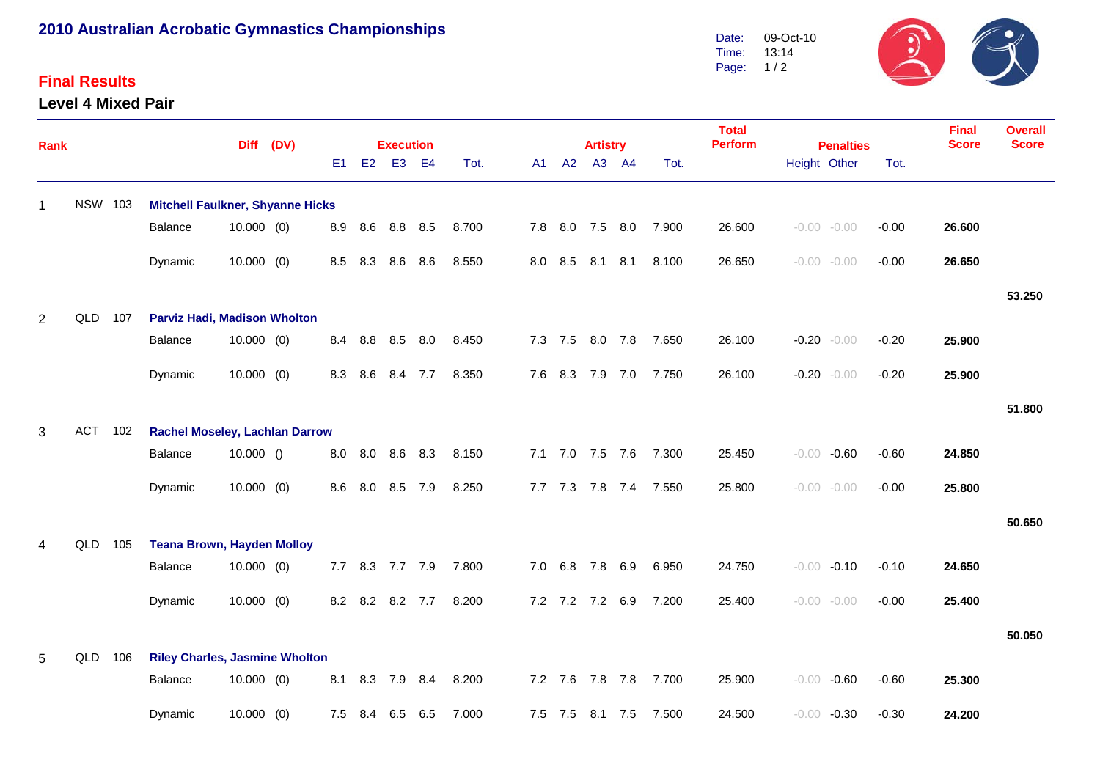## **2010 Australian Acrobatic Gymnastics Championships**

## **Final Results**

**Level 4 Mixed Pair**



| <b>Rank</b> |                |                                              |                                         | <b>Diff</b>  | (DV) |     | <b>Execution</b> |                 |     |       | <b>Artistry</b> |                |                 | <b>Total</b><br><b>Perform</b> | <b>Penalties</b> |        | <b>Final</b><br><b>Score</b> | <b>Overall</b><br><b>Score</b> |        |        |
|-------------|----------------|----------------------------------------------|-----------------------------------------|--------------|------|-----|------------------|-----------------|-----|-------|-----------------|----------------|-----------------|--------------------------------|------------------|--------|------------------------------|--------------------------------|--------|--------|
|             |                |                                              |                                         |              |      | E1  |                  | E2 E3 E4        |     | Tot.  | A1 <b>A</b>     | A2             |                 | A3 A4                          | Tot.             |        | Height Other                 | Tot.                           |        |        |
| $\mathbf 1$ | <b>NSW 103</b> |                                              | <b>Mitchell Faulkner, Shyanne Hicks</b> |              |      |     |                  |                 |     |       |                 |                |                 |                                |                  |        |                              |                                |        |        |
|             |                |                                              | Balance                                 | $10.000$ (0) |      | 8.9 | 8.6              | 8.8 8.5         |     | 8.700 |                 |                |                 | 7.8 8.0 7.5 8.0                | 7.900            | 26.600 | $-0.00 - 0.00$               | $-0.00$                        | 26.600 |        |
|             |                |                                              | Dynamic                                 | $10.000$ (0) |      | 8.5 | 8.3              | 8.6             | 8.6 | 8.550 |                 | 8.0 8.5        | 8.1             | 8.1                            | 8.100            | 26.650 | $-0.00 - 0.00$               | $-0.00$                        | 26.650 |        |
|             |                |                                              |                                         |              |      |     |                  |                 |     |       |                 |                |                 |                                |                  |        |                              |                                |        | 53.250 |
| 2           | QLD            | 107                                          | <b>Parviz Hadi, Madison Wholton</b>     |              |      |     |                  |                 |     |       |                 |                |                 |                                |                  |        |                              |                                |        |        |
|             |                |                                              | Balance                                 | $10.000$ (0) |      | 8.4 | 8.8              | 8.5 8.0         |     | 8.450 |                 |                |                 | 7.3 7.5 8.0 7.8                | 7.650            | 26.100 | $-0.20 - 0.00$               | $-0.20$                        | 25.900 |        |
|             |                |                                              | Dynamic                                 | $10.000$ (0) |      | 8.3 | 8.6              | 8.4             | 7.7 | 8.350 |                 | 7.6 8.3        | 7.9             | 7.0                            | 7.750            | 26.100 | $-0.20 - 0.00$               | $-0.20$                        | 25.900 |        |
|             |                |                                              |                                         |              |      |     |                  |                 |     |       |                 |                |                 |                                |                  |        |                              |                                |        | 51.800 |
| 3           | <b>ACT</b>     | 102                                          | <b>Rachel Moseley, Lachlan Darrow</b>   |              |      |     |                  |                 |     |       |                 |                |                 |                                |                  |        |                              |                                |        |        |
|             |                |                                              | Balance                                 | 10.000()     |      | 8.0 |                  | 8.0 8.6         | 8.3 | 8.150 |                 |                |                 | 7.1 7.0 7.5 7.6                | 7.300            | 25.450 | $-0.60$<br>$-0.00$           | $-0.60$                        | 24.850 |        |
|             |                |                                              | Dynamic                                 | $10.000$ (0) |      | 8.6 | 8.0              | 8.5             | 7.9 | 8.250 |                 | $7.7$ $7.3$    |                 | 7.8 7.4                        | 7.550            | 25.800 | $-0.00 - 0.00$               | $-0.00$                        | 25.800 |        |
|             |                |                                              |                                         |              |      |     |                  |                 |     |       |                 |                |                 |                                |                  |        |                              |                                |        | 50.650 |
| 4           | QLD            | 105                                          | <b>Teana Brown, Hayden Molloy</b>       |              |      |     |                  |                 |     |       |                 |                |                 |                                |                  |        |                              |                                |        |        |
|             |                |                                              | Balance                                 | $10.000$ (0) |      | 7.7 |                  | 8.3 7.7 7.9     |     | 7.800 |                 | $7.0\quad 6.8$ |                 | 7.8 6.9                        | 6.950            | 24.750 | $-0.10$<br>$-0.00$           | $-0.10$                        | 24.650 |        |
|             |                |                                              | Dynamic                                 | $10.000$ (0) |      |     |                  | 8.2 8.2 8.2 7.7 |     | 8.200 |                 |                | 7.2 7.2 7.2 6.9 |                                | 7.200            | 25.400 | $-0.00 - 0.00$               | $-0.00$                        | 25.400 |        |
|             |                |                                              |                                         |              |      |     |                  |                 |     |       |                 |                |                 |                                |                  |        |                              |                                |        | 50.050 |
| 5           | QLD            | <b>Riley Charles, Jasmine Wholton</b><br>106 |                                         |              |      |     |                  |                 |     |       |                 |                |                 |                                |                  |        |                              |                                |        |        |
|             |                |                                              | Balance                                 | $10.000$ (0) |      | 8.1 |                  | 8.3 7.9 8.4     |     | 8.200 |                 |                |                 | 7.2 7.6 7.8 7.8                | 7.700            | 25.900 | $-0.60$<br>$-0.00$           | $-0.60$                        | 25.300 |        |
|             |                |                                              | Dynamic                                 | $10.000$ (0) |      | 7.5 | 8.4              | 6.5             | 6.5 | 7.000 |                 |                |                 | 7.5 7.5 8.1 7.5                | 7.500            | 24.500 | $-0.30$<br>$-0.00$           | $-0.30$                        | 24.200 |        |